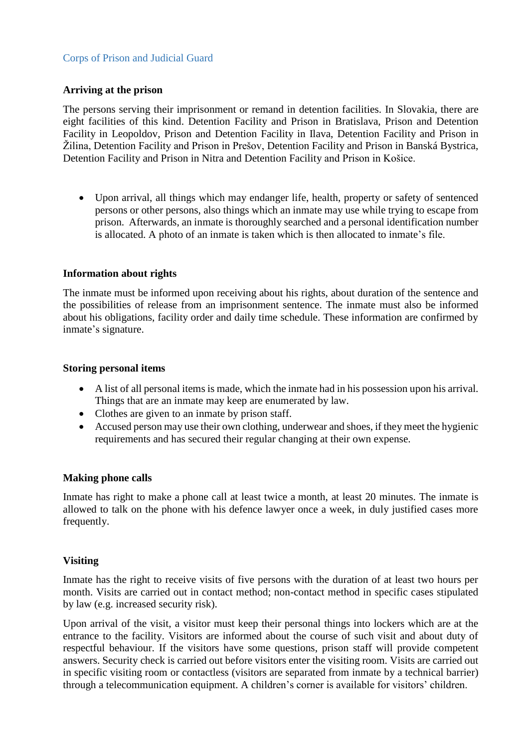# Corps of Prison and Judicial Guard

## **Arriving at the prison**

The persons serving their imprisonment or remand in detention facilities. In Slovakia, there are eight facilities of this kind. Detention Facility and Prison in Bratislava, Prison and Detention Facility in Leopoldov, Prison and Detention Facility in Ilava, Detention Facility and Prison in Žilina, Detention Facility and Prison in Prešov, Detention Facility and Prison in Banská Bystrica, Detention Facility and Prison in Nitra and Detention Facility and Prison in Košice.

 Upon arrival, all things which may endanger life, health, property or safety of sentenced persons or other persons, also things which an inmate may use while trying to escape from prison. Afterwards, an inmate is thoroughly searched and a personal identification number is allocated. A photo of an inmate is taken which is then allocated to inmate's file.

## **Information about rights**

The inmate must be informed upon receiving about his rights, about duration of the sentence and the possibilities of release from an imprisonment sentence. The inmate must also be informed about his obligations, facility order and daily time schedule. These information are confirmed by inmate's signature.

## **Storing personal items**

- A list of all personal items is made, which the inmate had in his possession upon his arrival. Things that are an inmate may keep are enumerated by law.
- Clothes are given to an inmate by prison staff.
- Accused person may use their own clothing, underwear and shoes, if they meet the hygienic requirements and has secured their regular changing at their own expense.

## **Making phone calls**

Inmate has right to make a phone call at least twice a month, at least 20 minutes. The inmate is allowed to talk on the phone with his defence lawyer once a week, in duly justified cases more frequently.

## **Visiting**

Inmate has the right to receive visits of five persons with the duration of at least two hours per month. Visits are carried out in contact method; non-contact method in specific cases stipulated by law (e.g. increased security risk).

Upon arrival of the visit, a visitor must keep their personal things into lockers which are at the entrance to the facility. Visitors are informed about the course of such visit and about duty of respectful behaviour. If the visitors have some questions, prison staff will provide competent answers. Security check is carried out before visitors enter the visiting room. Visits are carried out in specific visiting room or contactless (visitors are separated from inmate by a technical barrier) through a telecommunication equipment. A children's corner is available for visitors' children.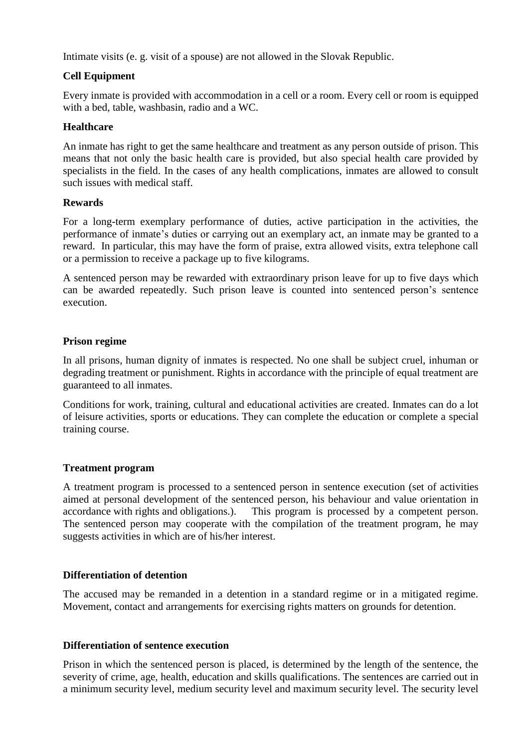Intimate visits (e. g. visit of a spouse) are not allowed in the Slovak Republic.

# **Cell Equipment**

Every inmate is provided with accommodation in a cell or a room. Every cell or room is equipped with a bed, table, washbasin, radio and a WC.

## **Healthcare**

An inmate has right to get the same healthcare and treatment as any person outside of prison. This means that not only the basic health care is provided, but also special health care provided by specialists in the field. In the cases of any health complications, inmates are allowed to consult such issues with medical staff.

## **Rewards**

For a long-term exemplary performance of duties, active participation in the activities, the performance of inmate's duties or carrying out an exemplary act, an inmate may be granted to a reward. In particular, this may have the form of praise, extra allowed visits, extra telephone call or a permission to receive a package up to five kilograms.

A sentenced person may be rewarded with extraordinary prison leave for up to five days which can be awarded repeatedly. Such prison leave is counted into sentenced person's sentence execution.

## **Prison regime**

In all prisons, human dignity of inmates is respected. No one shall be subject cruel, inhuman or degrading treatment or punishment. Rights in accordance with the principle of equal treatment are guaranteed to all inmates.

Conditions for work, training, cultural and educational activities are created. Inmates can do a lot of leisure activities, sports or educations. They can complete the education or complete a special training course.

## **Treatment program**

A treatment program is processed to a sentenced person in sentence execution (set of activities aimed at personal development of the sentenced person, his behaviour and value orientation in accordance with rights and obligations.). This program is processed by a competent person. The sentenced person may cooperate with the compilation of the treatment program, he may suggests activities in which are of his/her interest.

## **Differentiation of detention**

The accused may be remanded in a detention in a standard regime or in a mitigated regime. Movement, contact and arrangements for exercising rights matters on grounds for detention.

## **Differentiation of sentence execution**

Prison in which the sentenced person is placed, is determined by the length of the sentence, the severity of crime, age, health, education and skills qualifications. The sentences are carried out in a minimum security level, medium security level and maximum security level. The security level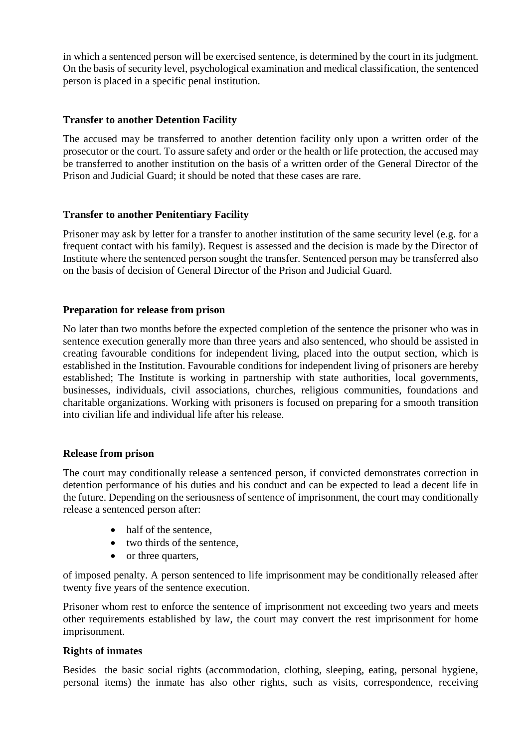in which a sentenced person will be exercised sentence, is determined by the court in its judgment. On the basis of security level, psychological examination and medical classification, the sentenced person is placed in a specific penal institution.

## **Transfer to another Detention Facility**

The accused may be transferred to another detention facility only upon a written order of the prosecutor or the court. To assure safety and order or the health or life protection, the accused may be transferred to another institution on the basis of a written order of the General Director of the Prison and Judicial Guard; it should be noted that these cases are rare.

## **Transfer to another Penitentiary Facility**

Prisoner may ask by letter for a transfer to another institution of the same security level (e.g. for a frequent contact with his family). Request is assessed and the decision is made by the Director of Institute where the sentenced person sought the transfer. Sentenced person may be transferred also on the basis of decision of General Director of the Prison and Judicial Guard.

## **Preparation for release from prison**

No later than two months before the expected completion of the sentence the prisoner who was in sentence execution generally more than three years and also sentenced, who should be assisted in creating favourable conditions for independent living, placed into the output section, which is established in the Institution. Favourable conditions for independent living of prisoners are hereby established; The Institute is working in partnership with state authorities, local governments, businesses, individuals, civil associations, churches, religious communities, foundations and charitable organizations. Working with prisoners is focused on preparing for a smooth transition into civilian life and individual life after his release.

## **Release from prison**

The court may conditionally release a sentenced person, if convicted demonstrates correction in detention performance of his duties and his conduct and can be expected to lead a decent life in the future. Depending on the seriousness of sentence of imprisonment, the court may conditionally release a sentenced person after:

- half of the sentence,
- two thirds of the sentence.
- or three quarters,

of imposed penalty. A person sentenced to life imprisonment may be conditionally released after twenty five years of the sentence execution.

Prisoner whom rest to enforce the sentence of imprisonment not exceeding two years and meets other requirements established by law, the court may convert the rest imprisonment for home imprisonment.

## **Rights of inmates**

Besides the basic social rights (accommodation, clothing, sleeping, eating, personal hygiene, personal items) the inmate has also other rights, such as visits, correspondence, receiving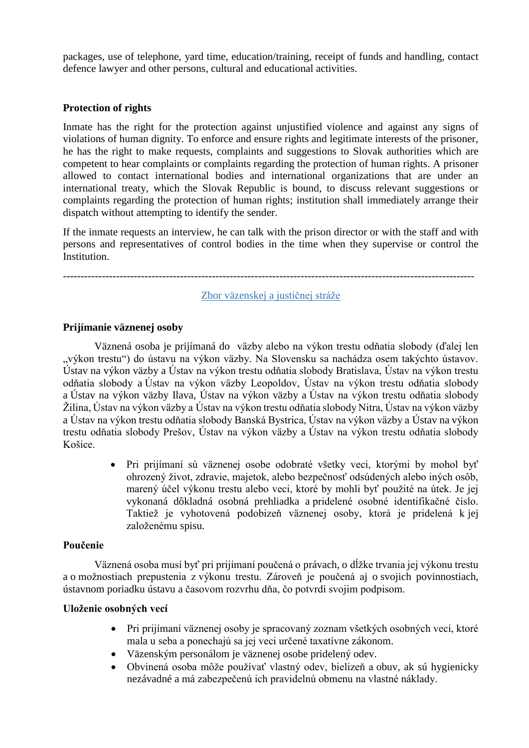packages, use of telephone, yard time, education/training, receipt of funds and handling, contact defence lawyer and other persons, cultural and educational activities.

## **Protection of rights**

Inmate has the right for the protection against unjustified violence and against any signs of violations of human dignity. To enforce and ensure rights and legitimate interests of the prisoner, he has the right to make requests, complaints and suggestions to Slovak authorities which are competent to hear complaints or complaints regarding the protection of human rights. A prisoner allowed to contact international bodies and international organizations that are under an international treaty, which the Slovak Republic is bound, to discuss relevant suggestions or complaints regarding the protection of human rights; institution shall immediately arrange their dispatch without attempting to identify the sender.

If the inmate requests an interview, he can talk with the prison director or with the staff and with persons and representatives of control bodies in the time when they supervise or control the Institution.

--------------------------------------------------------------------------------------------------------------------

Zbor väzenskej a justičnej stráže

## **Prijímanie väznenej osoby**

Väznená osoba je prijímaná do väzby alebo na výkon trestu odňatia slobody (ďalej len "výkon trestu") do ústavu na výkon väzby. Na Slovensku sa nachádza osem takýchto ústavov. Ústav na výkon väzby a Ústav na výkon trestu odňatia slobody Bratislava, Ústav na výkon trestu odňatia slobody a Ústav na výkon väzby Leopoldov, Ústav na výkon trestu odňatia slobody a Ústav na výkon väzby Ilava, Ústav na výkon väzby a Ústav na výkon trestu odňatia slobody Žilina, Ústav na výkon väzby a Ústav na výkon trestu odňatia slobody Nitra, Ústav na výkon väzby a Ústav na výkon trestu odňatia slobody Banská Bystrica, Ústav na výkon väzby a Ústav na výkon trestu odňatia slobody Prešov, Ústav na výkon väzby a Ústav na výkon trestu odňatia slobody Košice.

> • Pri prijímaní sú väznenej osobe odobraté všetky veci, ktorými by mohol byť ohrozený život, zdravie, majetok, alebo bezpečnosť odsúdených alebo iných osôb, marený účel výkonu trestu alebo veci, ktoré by mohli byť použité na útek. Je jej vykonaná dôkladná osobná prehliadka a pridelené osobné identifikačné číslo. Taktiež je vyhotovená podobizeň väznenej osoby, ktorá je pridelená k jej založenému spisu.

## **Poučenie**

Väznená osoba musí byť pri prijímaní poučená o právach, o dĺžke trvania jej výkonu trestu a o možnostiach prepustenia z výkonu trestu. Zároveň je poučená aj o svojich povinnostiach, ústavnom poriadku ústavu a časovom rozvrhu dňa, čo potvrdí svojim podpisom.

## **Uloženie osobných vecí**

- Pri prijímaní väznenej osoby je spracovaný zoznam všetkých osobných vecí, ktoré mala u seba a ponechajú sa jej veci určené taxatívne zákonom.
- Väzenským personálom je väznenej osobe pridelený odev.
- Obvinená osoba môže používať vlastný odev, bielizeň a obuv, ak sú hygienicky nezávadné a má zabezpečenú ich pravidelnú obmenu na vlastné náklady.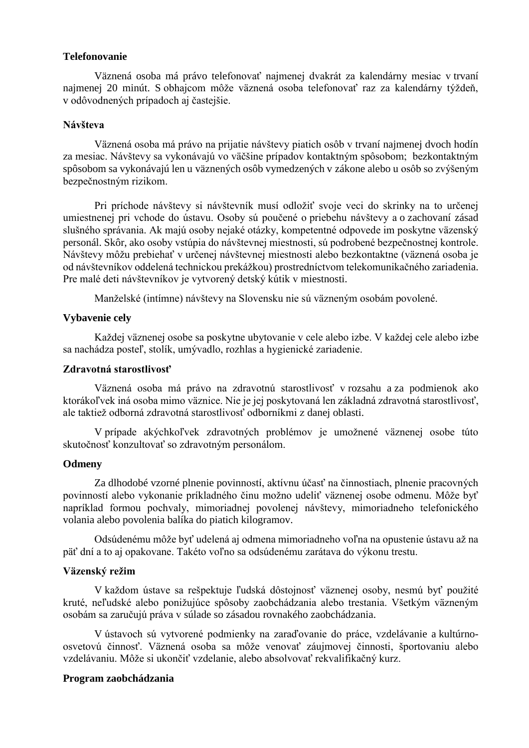## **Telefonovanie**

Väznená osoba má právo telefonovať najmenej dvakrát za kalendárny mesiac v trvaní najmenej 20 minút. S obhajcom môže väznená osoba telefonovať raz za kalendárny týždeň, v odôvodnených prípadoch aj častejšie.

#### **Návšteva**

Väznená osoba má právo na prijatie návštevy piatich osôb v trvaní najmenej dvoch hodín za mesiac. Návštevy sa vykonávajú vo väčšine prípadov kontaktným spôsobom; bezkontaktným spôsobom sa vykonávajú len u väznených osôb vymedzených v zákone alebo u osôb so zvýšeným bezpečnostným rizikom.

Pri príchode návštevy si návštevník musí odložiť svoje veci do skrinky na to určenej umiestnenej pri vchode do ústavu. Osoby sú poučené o priebehu návštevy a o zachovaní zásad slušného správania. Ak majú osoby nejaké otázky, kompetentné odpovede im poskytne väzenský personál. Skôr, ako osoby vstúpia do návštevnej miestnosti, sú podrobené bezpečnostnej kontrole. Návštevy môžu prebiehať v určenej návštevnej miestnosti alebo bezkontaktne (väznená osoba je od návštevníkov oddelená technickou prekážkou) prostredníctvom telekomunikačného zariadenia. Pre malé deti návštevníkov je vytvorený detský kútik v miestnosti.

Manželské (intímne) návštevy na Slovensku nie sú väzneným osobám povolené.

## **Vybavenie cely**

Každej väznenej osobe sa poskytne ubytovanie v cele alebo izbe. V každej cele alebo izbe sa nachádza posteľ, stolík, umývadlo, rozhlas a hygienické zariadenie.

#### **Zdravotná starostlivosť**

Väznená osoba má právo na zdravotnú starostlivosť v rozsahu a za podmienok ako ktorákoľvek iná osoba mimo väznice. Nie je jej poskytovaná len základná zdravotná starostlivosť, ale taktiež odborná zdravotná starostlivosť odborníkmi z danej oblasti.

V prípade akýchkoľvek zdravotných problémov je umožnené väznenej osobe túto skutočnosť konzultovať so zdravotným personálom.

## **Odmeny**

Za dlhodobé vzorné plnenie povinností, aktívnu účasť na činnostiach, plnenie pracovných povinností alebo vykonanie príkladného činu možno udeliť väznenej osobe odmenu. Môže byť napríklad formou pochvaly, mimoriadnej povolenej návštevy, mimoriadneho telefonického volania alebo povolenia balíka do piatich kilogramov.

Odsúdenému môže byť udelená aj odmena mimoriadneho voľna na opustenie ústavu až na päť dní a to aj opakovane. Takéto voľno sa odsúdenému zarátava do výkonu trestu.

### **Väzenský režim**

V každom ústave sa rešpektuje ľudská dôstojnosť väznenej osoby, nesmú byť použité kruté, neľudské alebo ponižujúce spôsoby zaobchádzania alebo trestania. Všetkým väzneným osobám sa zaručujú práva v súlade so zásadou rovnakého zaobchádzania.

V ústavoch sú vytvorené podmienky na zaraďovanie do práce, vzdelávanie a kultúrnoosvetovú činnosť. Väznená osoba sa môže venovať záujmovej činnosti, športovaniu alebo vzdelávaniu. Môže si ukončiť vzdelanie, alebo absolvovať rekvalifikačný kurz.

#### **Program zaobchádzania**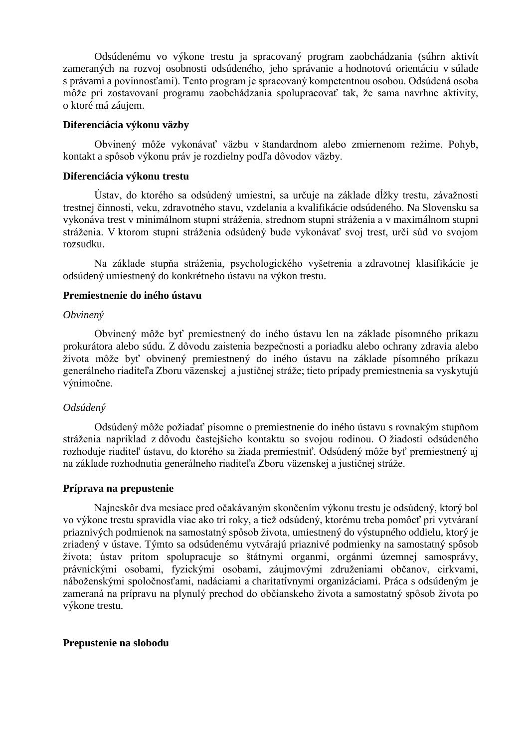Odsúdenému vo výkone trestu ja spracovaný program zaobchádzania (súhrn aktivít zameraných na rozvoj osobnosti odsúdeného, jeho správanie a hodnotovú orientáciu v súlade s právami a povinnosťami). Tento program je spracovaný kompetentnou osobou. Odsúdená osoba môže pri zostavovaní programu zaobchádzania spolupracovať tak, že sama navrhne aktivity, o ktoré má záujem.

#### **Diferenciácia výkonu väzby**

Obvinený môže vykonávať väzbu v štandardnom alebo zmiernenom režime. Pohyb, kontakt a spôsob výkonu práv je rozdielny podľa dôvodov väzby.

### **Diferenciácia výkonu trestu**

Ústav, do ktorého sa odsúdený umiestni, sa určuje na základe dĺžky trestu, závažnosti trestnej činnosti, veku, zdravotného stavu, vzdelania a kvalifikácie odsúdeného. Na Slovensku sa vykonáva trest v minimálnom stupni stráženia, strednom stupni stráženia a v maximálnom stupni stráženia. V ktorom stupni stráženia odsúdený bude vykonávať svoj trest, určí súd vo svojom rozsudku.

Na základe stupňa stráženia, psychologického vyšetrenia a zdravotnej klasifikácie je odsúdený umiestnený do konkrétneho ústavu na výkon trestu.

### **Premiestnenie do iného ústavu**

#### *Obvinený*

Obvinený môže byť premiestnený do iného ústavu len na základe písomného príkazu prokurátora alebo súdu. Z dôvodu zaistenia bezpečnosti a poriadku alebo ochrany zdravia alebo života môže byť obvinený premiestnený do iného ústavu na základe písomného príkazu generálneho riaditeľa Zboru väzenskej a justičnej stráže; tieto prípady premiestnenia sa vyskytujú výnimočne.

#### *Odsúdený*

Odsúdený môže požiadať písomne o premiestnenie do iného ústavu s rovnakým stupňom stráženia napríklad z dôvodu častejšieho kontaktu so svojou rodinou. O žiadosti odsúdeného rozhoduje riaditeľ ústavu, do ktorého sa žiada premiestniť. Odsúdený môže byť premiestnený aj na základe rozhodnutia generálneho riaditeľa Zboru väzenskej a justičnej stráže.

#### **Príprava na prepustenie**

Najneskôr dva mesiace pred očakávaným skončením výkonu trestu je odsúdený, ktorý bol vo výkone trestu spravidla viac ako tri roky, a tiež odsúdený, ktorému treba pomôcť pri vytváraní priaznivých podmienok na samostatný spôsob života, umiestnený do výstupného oddielu, ktorý je zriadený v ústave. Týmto sa odsúdenému vytvárajú priaznivé podmienky na samostatný spôsob života; ústav pritom spolupracuje so štátnymi organmi, orgánmi územnej samosprávy, právnickými osobami, fyzickými osobami, záujmovými združeniami občanov, cirkvami, náboženskými spoločnosťami, nadáciami a charitatívnymi organizáciami. Práca s odsúdeným je zameraná na prípravu na plynulý prechod do občianskeho života a samostatný spôsob života po výkone trestu.

### **Prepustenie na slobodu**